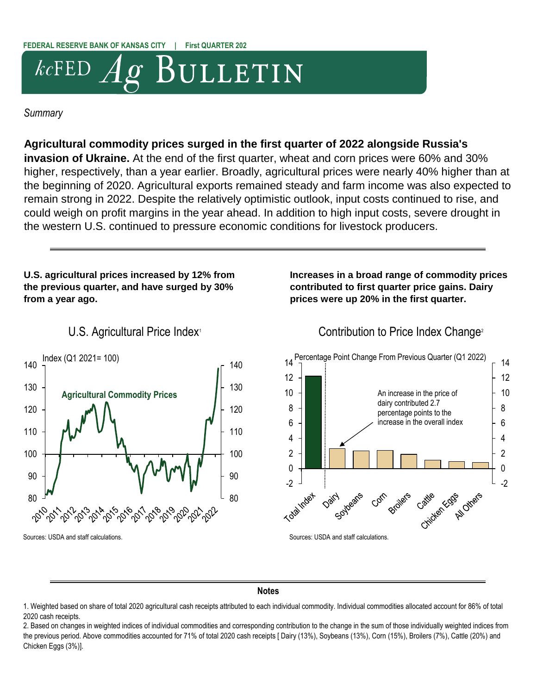# BULLETIN  $kcFED$

#### *Summary*

### **Agricultural commodity prices surged in the first quarter of 2022 alongside Russia's**

**invasion of Ukraine.** At the end of the first quarter, wheat and corn prices were 60% and 30% higher, respectively, than a year earlier. Broadly, agricultural prices were nearly 40% higher than at the beginning of 2020. Agricultural exports remained steady and farm income was also expected to remain strong in 2022. Despite the relatively optimistic outlook, input costs continued to rise, and could weigh on profit margins in the year ahead. In addition to high input costs, severe drought in the western U.S. continued to pressure economic conditions for livestock producers.

#### **U.S. agricultural prices increased by 12% from the previous quarter, and have surged by 30% from a year ago.**



#### **Increases in a broad range of commodity prices contributed to first quarter price gains. Dairy prices were up 20% in the first quarter.**

# U.S. Agricultural Price Index<sup>1</sup> Contribution to Price Index Change<sup>2</sup>



#### **Notes**

1. Weighted based on share of total 2020 agricultural cash receipts attributed to each individual commodity. Individual commodities allocated account for 86% of total 2020 cash receipts.

2. Based on changes in weighted indices of individual commodities and corresponding contribution to the change in the sum of those individually weighted indices from the previous period. Above commodities accounted for 71% of total 2020 cash receipts [ Dairy (13%), Soybeans (13%), Corn (15%), Broilers (7%), Cattle (20%) and Chicken Eggs (3%)].